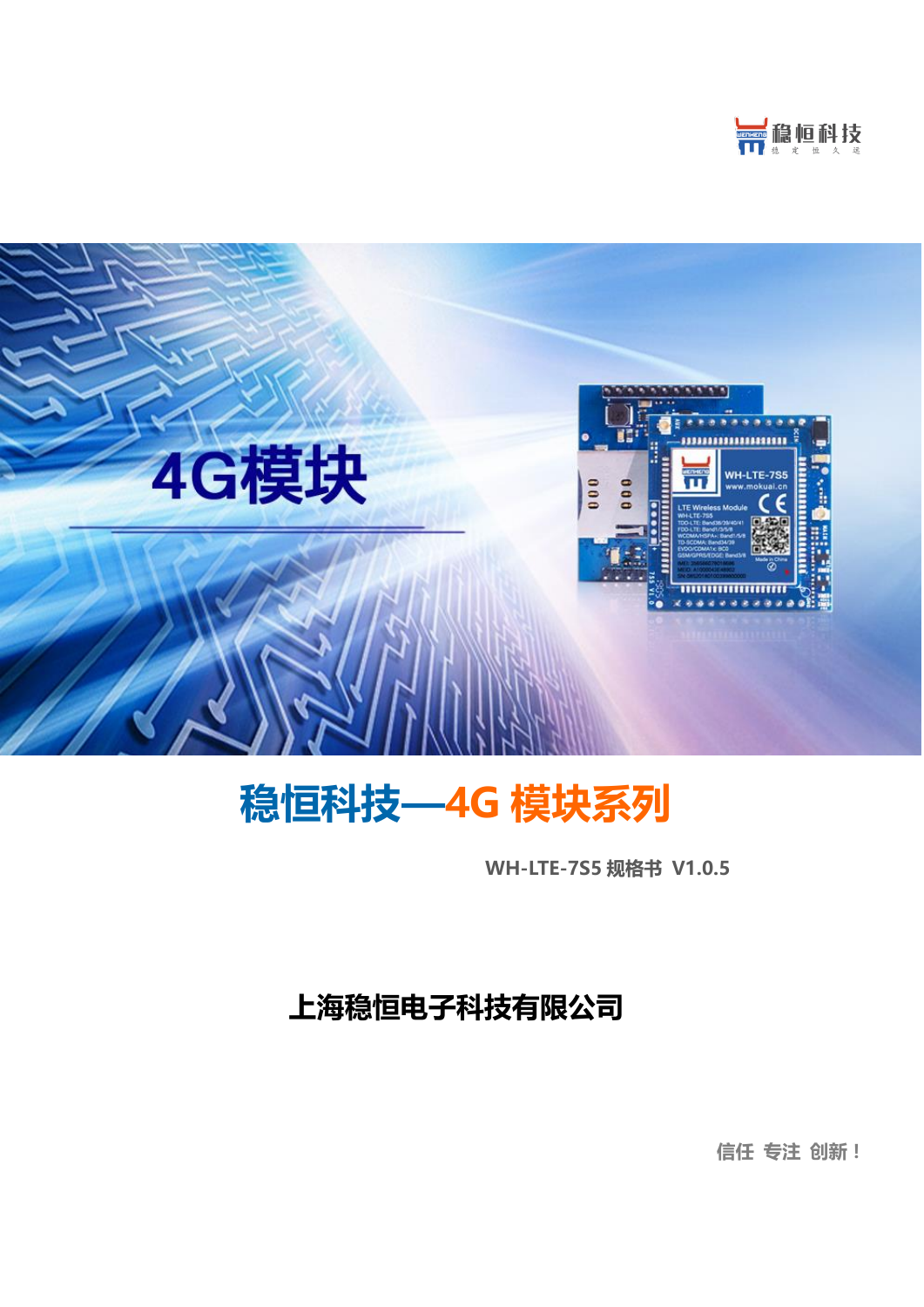



# 稳恒科技—4G 模块系列

WH-LTE-7S5 规格书 V1.0.5

## 上海稳恒电子科技有限公司

信任 专注 创新!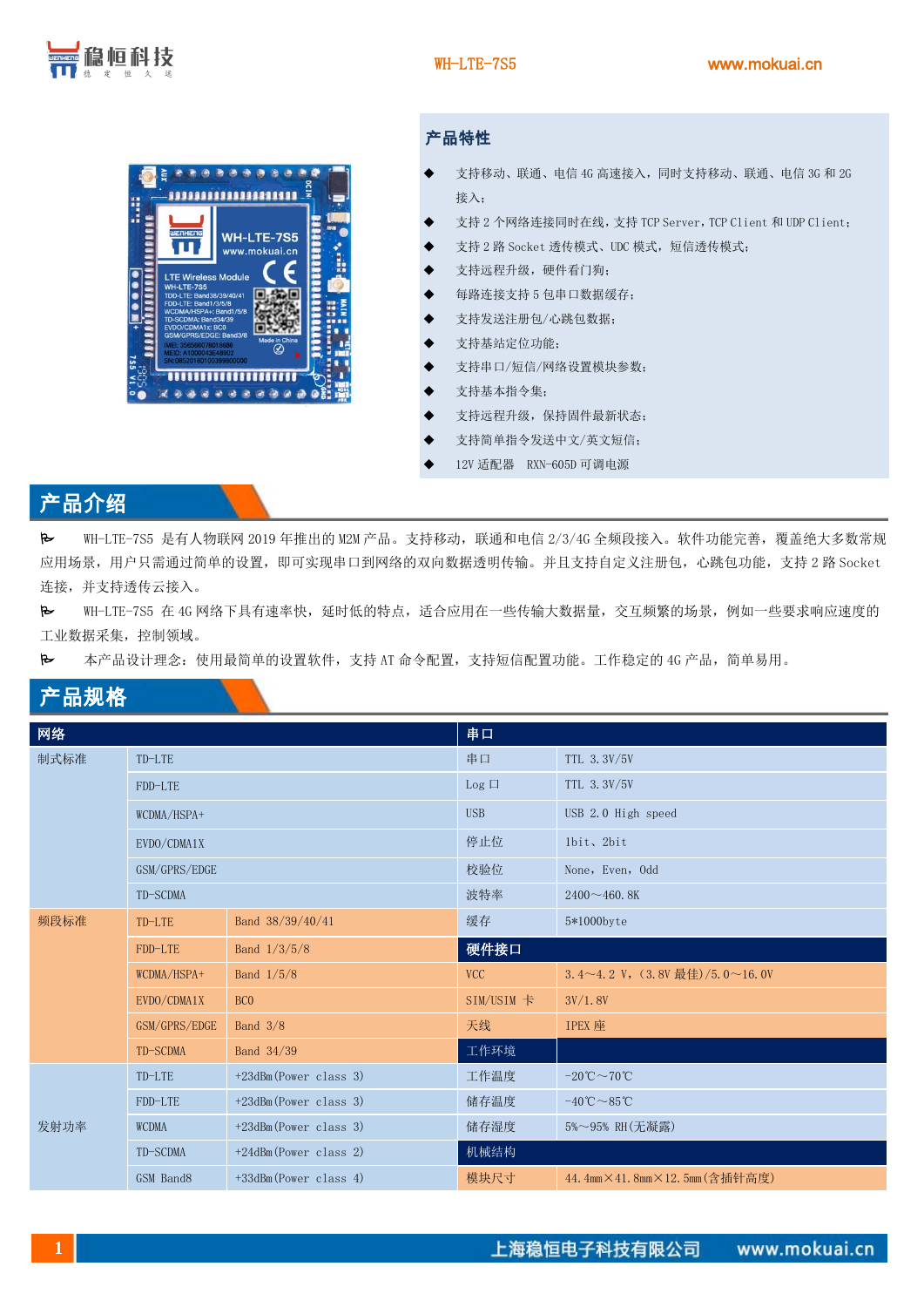

#### 产品特性

- 支持移动、联通、电信 4G 高速接入,同时支持移动、联通、电信 3G 和 2G 接入;
- 支持 2 个网络连接同时在线, 支持 TCP Server, TCP Client 和 UDP Client;
- 支持 2 路 Socket 透传模式、UDC 模式,短信透传模式;
- 支持远程升级, 硬件看门狗;
- 每路连接支持 5 包串口数据缓存;
- 支持发送注册包/心跳包数据;
- 支持基站定位功能;
- 支持串口/短信/网络设置模块参数;
- 支持基本指令集;
- 支持远程升级,保持固件最新状态;
- 支持简单指令发送中文/英文短信;
- 12V 适配器 RXN-605D 可调电源

#### 产品介绍

 WH-LTE-7S5 是有人物联网 2019 年推出的 M2M 产品。支持移动,联通和电信 2/3/4G 全频段接入。软件功能完善,覆盖绝大多数常规 应用场景,用户只需通过简单的设置,即可实现串口到网络的双向数据透明传输。并且支持自定义注册包,心跳包功能,支持2路 Socket 连接,并支持透传云接入。

 WH-LTE-7S5 在 4G 网络下具有速率快,延时低的特点,适合应用在一些传输大数据量,交互频繁的场景,例如一些要求响应速度的 工业数据采集,控制领域。

本产品设计理念:使用最简单的设置软件,支持 AT 命令配置,支持短信配置功能。工作稳定的 4G 产品,简单易用。

### 产品规格

| 网络   |               |                          | 串口           |                                               |
|------|---------------|--------------------------|--------------|-----------------------------------------------|
| 制式标准 | TD-LTE        |                          | 串口           | TTL 3.3V/5V                                   |
|      | FDD-LTE       |                          | $Log$ $\Box$ | TTL 3.3V/5V                                   |
|      | WCDMA/HSPA+   |                          | <b>USB</b>   | USB 2.0 High speed                            |
|      | EVDO/CDMA1X   |                          | 停止位          | 1bit, 2bit                                    |
|      | GSM/GPRS/EDGE |                          | 校验位          | None, Even, Odd                               |
|      | TD-SCDMA      |                          | 波特率          | $2400 - 460.8K$                               |
| 频段标准 | TD-LTE        | Band 38/39/40/41         | 缓存           | 5*1000byte                                    |
|      | FDD-LTE       | Band $1/3/5/8$           | 硬件接口         |                                               |
|      | WCDMA/HSPA+   | Band $1/5/8$             | <b>VCC</b>   | 3.4~4.2 V, $(3.8V$ 最佳 $)/5.0$ ~16.0V          |
|      | EVDO/CDMA1X   | BC <sub>0</sub>          | SIM/USIM 卡   | 3V/1.8V                                       |
|      | GSM/GPRS/EDGE | Band $3/8$               | 天线           | <b>IPEX</b> 座                                 |
|      | TD-SCDMA      | Band 34/39               | 工作环境         |                                               |
| 发射功率 | TD-LTE        | +23dBm(Power class 3)    | 工作温度         | $-20^{\circ}\text{C} \sim 70^{\circ}\text{C}$ |
|      | FDD-LTE       | +23dBm(Power class 3)    | 储存温度         | $-40^{\circ}\text{C} \sim 85^{\circ}\text{C}$ |
|      | <b>WCDMA</b>  | +23dBm(Power class 3)    | 储存湿度         | 5%~95% RH (无凝露)                               |
|      | TD-SCDMA      | +24dBm(Power class 2)    | 机械结构         |                                               |
|      | GSM Band8     | $+33d$ Bm(Power class 4) | 模块尺寸         | 44.4mm×41.8mm×12.5mm(含插针高度)                   |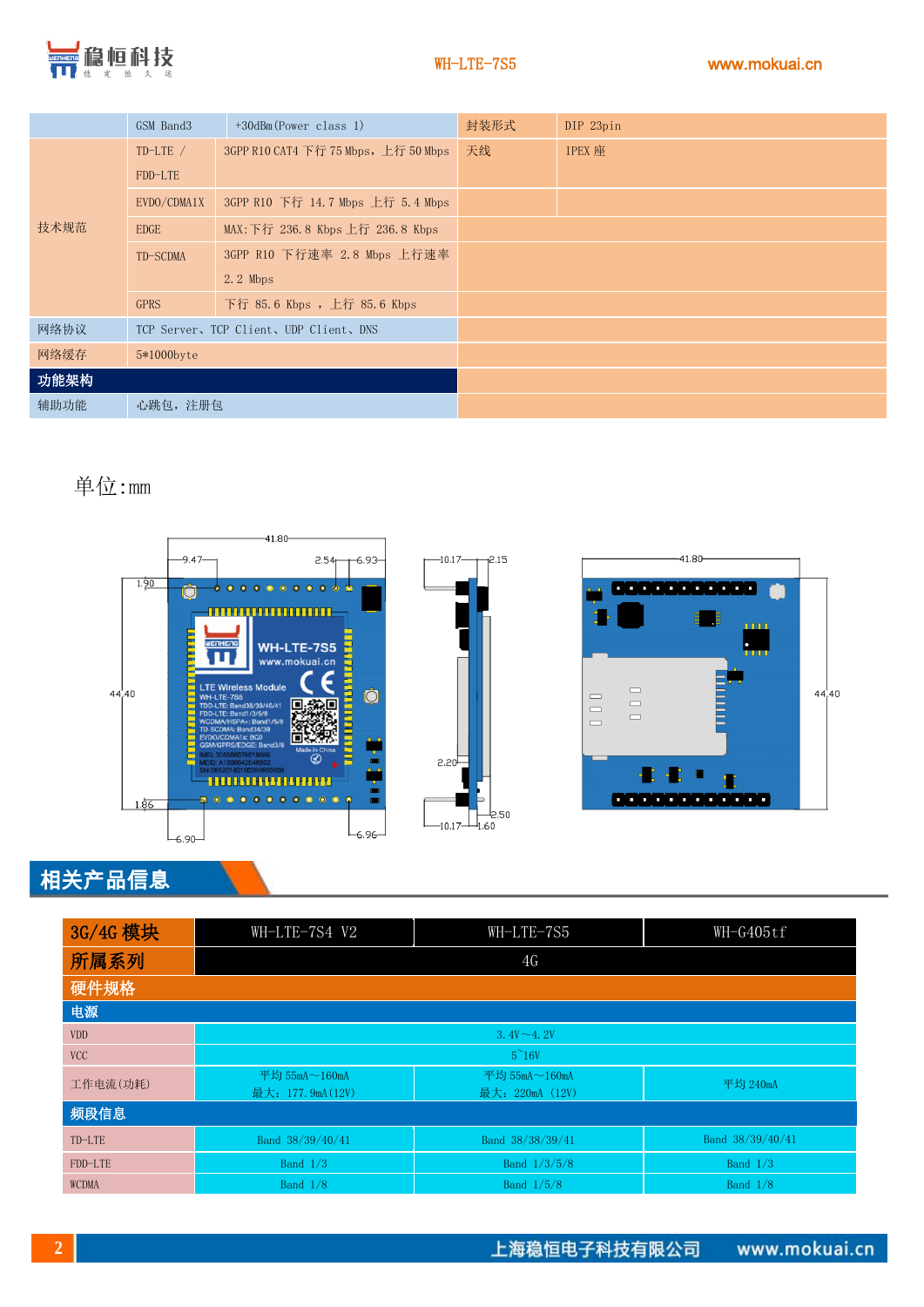

|      | GSM Band3                               | +30dBm(Power class 1)                | 封装形式 | DIP 23pin     |
|------|-----------------------------------------|--------------------------------------|------|---------------|
| 技术规范 | $TD-LTE$ /                              | 3GPP R10 CAT4 下行 75 Mbps, 上行 50 Mbps | 天线   | <b>IPEX</b> 座 |
|      | FDD-LTE                                 |                                      |      |               |
|      | EVDO/CDMA1X                             | 3GPP R10 下行 14.7 Mbps 上行 5.4 Mbps    |      |               |
|      | <b>EDGE</b>                             | MAX: 下行 236.8 Kbps 上行 236.8 Kbps     |      |               |
|      | TD-SCDMA                                | 3GPP R10 下行速率 2.8 Mbps 上行速率          |      |               |
|      |                                         | $2.2$ Mbps                           |      |               |
|      | <b>GPRS</b>                             | 下行 85.6 Kbps , 上行 85.6 Kbps          |      |               |
| 网络协议 | TCP Server, TCP Client, UDP Client, DNS |                                      |      |               |
| 网络缓存 | 5*1000byte                              |                                      |      |               |
| 功能架构 |                                         |                                      |      |               |
| 辅助功能 | 心跳包, 注册包                                |                                      |      |               |

单位:mm







### 相关产品信息

| 3G/4G 模块 | WH-LTE-7S4 V2                      | WH-LTE-7S5                              | WH-G405tf        |
|----------|------------------------------------|-----------------------------------------|------------------|
| 所属系列     |                                    | 4G                                      |                  |
| 硬件规格     |                                    |                                         |                  |
| 电源       |                                    |                                         |                  |
| VDD      | $3.4V \sim 4.2V$                   |                                         |                  |
| VCC      |                                    | $5^{\sim}16V$                           |                  |
| 工作电流(功耗) | 平均 55mA~160mA<br>最大: 177.9mA (12V) | 平均 $55mA \sim 160mA$<br>最大: 220mA (12V) | 平均 240mA         |
| 频段信息     |                                    |                                         |                  |
| TD-LTE   | Band 38/39/40/41                   | Band 38/38/39/41                        | Band 38/39/40/41 |
| FDD-LTE  | Band $1/3$                         | Band 1/3/5/8                            | Band $1/3$       |
| WCDMA    | <b>Band 1/8</b>                    | Band 1/5/8                              | Band $1/8$       |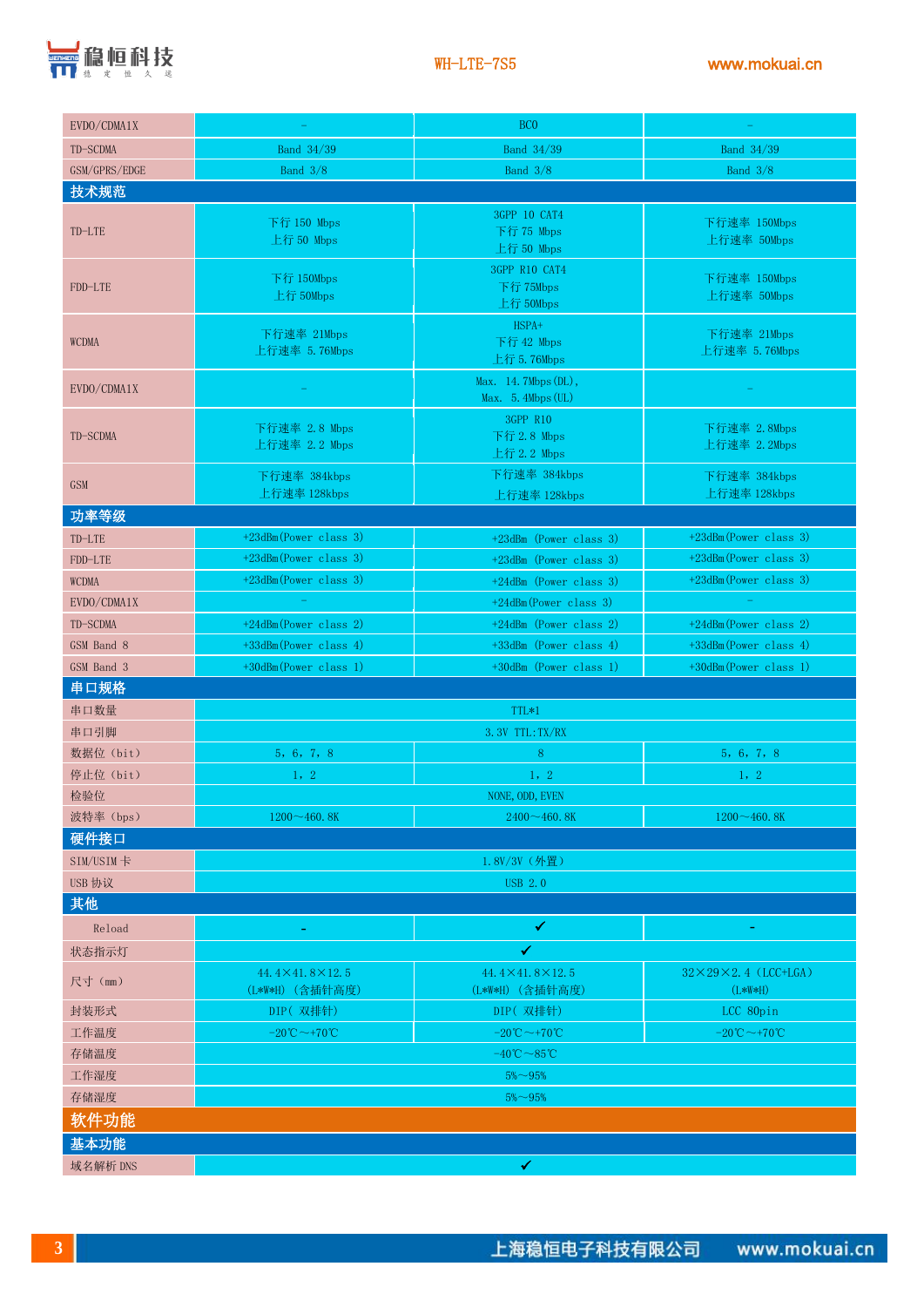

| EVDO/CDMA1X                 |                                                 | BC <sub>0</sub>                                |                                                |
|-----------------------------|-------------------------------------------------|------------------------------------------------|------------------------------------------------|
| TD-SCDMA                    | Band 34/39                                      | Band 34/39                                     | Band 34/39                                     |
| GSM/GPRS/EDGE<br>Band $3/8$ |                                                 | Band $3/8$                                     | Band $3/8$                                     |
| 技术规范                        |                                                 |                                                |                                                |
| TD-LTE                      | 下行 150 Mbps<br>上行 50 Mbps                       | 3GPP 10 CAT4<br>下行 75 Mbps<br>上行 50 Mbps       | 下行速率 150Mbps<br>上行速率 50Mbps                    |
| FDD-LTE                     | 下行 150Mbps<br>上行 50Mbps                         | 3GPP R10 CAT4<br>下行 75Mbps<br>上行 50Mbps        | 下行速率 150Mbps<br>上行速率 50Mbps                    |
| <b>WCDMA</b>                | 下行速率 21Mbps<br>上行速率 5.76Mbps                    | HSPA+<br>下行 42 Mbps<br>上行 5.76Mbps             | 下行速率 21Mbps<br>上行速率 5.76Mbps                   |
| EVDO/CDMA1X                 |                                                 | Max. 14.7Mbps (DL),<br>Max. 5. 4Mbps (UL)      |                                                |
| TD-SCDMA                    | 下行速率 2.8 Mbps<br>上行速率 2.2 Mbps                  | 3GPP R10<br>下行 2.8 Mbps<br>上行 2.2 Mbps         | 下行速率 2.8Mbps<br>上行速率 2.2Mbps                   |
| <b>GSM</b>                  | 下行速率 384kbps<br>上行速率 128kbps                    | 下行速率 384kbps<br>上行速率 128kbps                   | 下行速率 384kbps<br>上行速率 128kbps                   |
| 功率等级                        |                                                 |                                                |                                                |
| TD-LTE                      | $+23$ dBm(Power class 3)                        | $+23$ dBm (Power class 3)                      | +23dBm(Power class 3)                          |
| FDD-LTE                     | $+23d$ Bm(Power class 3)                        | +23dBm (Power class 3)                         | +23dBm(Power class 3)                          |
| <b>WCDMA</b>                | $+23$ dBm(Power class 3)                        | +24dBm (Power class 3)                         | +23dBm(Power class 3)                          |
| EVDO/CDMA1X                 | $+24d$ Bm(Power class 3)                        |                                                |                                                |
| TD-SCDMA                    | +24dBm(Power class 2)<br>+24dBm (Power class 2) |                                                | +24dBm(Power class 2)                          |
| GSM Band 8                  | +33dBm(Power class 4)                           | +33dBm (Power class 4)                         | +33dBm(Power class 4)                          |
| GSM Band 3                  | +30dBm(Power class 1)                           | +30dBm (Power class 1)                         | +30dBm(Power class 1)                          |
| 串口规格                        |                                                 |                                                |                                                |
| 串口数量                        |                                                 | TTL*1                                          |                                                |
| 串口引脚                        |                                                 | 3.3V TTL: TX/RX                                |                                                |
| 数据位 (bit)                   | 5, 6, 7, 8                                      | 8                                              | 5, 6, 7, 8                                     |
| 停止位 (bit)                   | 1, 2                                            | 1, 2                                           | 1, 2                                           |
| 检验位                         |                                                 | NONE, ODD, EVEN                                |                                                |
| 波特率 (bps)                   | $1200 - 460.8K$                                 | $2400 \sim 460.8K$                             | $1200 - 460.8K$                                |
| 硬件接口                        |                                                 |                                                |                                                |
| SIM/USIM卡                   |                                                 | 1.8V/3V (外置)                                   |                                                |
| USB 协议                      |                                                 | <b>USB 2.0</b>                                 |                                                |
| 其他                          |                                                 |                                                |                                                |
| Reload<br>状态指示灯             | ۳                                               | $\checkmark$<br>✔                              |                                                |
|                             | $44.4 \times 41.8 \times 12.5$                  | $44.4 \times 41.8 \times 12.5$                 | $32 \times 29 \times 2$ , 4 (LCC+LGA)          |
| 尺寸 (mm)                     | (L*W*H) (含插针高度)                                 | (L*W*H) (含插针高度)                                | $(L*W*H)$                                      |
| 封装形式                        | DIP(双排针)                                        | DIP(双排针)                                       | LCC 80pin                                      |
| 工作温度                        | $-20^{\circ}\text{C} \sim +70^{\circ}\text{C}$  | $-20^{\circ}\text{C} \sim +70^{\circ}\text{C}$ | $-20^{\circ}\text{C} \sim +70^{\circ}\text{C}$ |
| 存储温度                        | $-40^{\circ}\text{C} \sim 85^{\circ}\text{C}$   |                                                |                                                |
| 工作湿度                        | $5\% - 95\%$                                    |                                                |                                                |
| 存储湿度                        | $5\%$ ~95%                                      |                                                |                                                |
| 软件功能                        |                                                 |                                                |                                                |
| 基本功能                        |                                                 |                                                |                                                |
| 域名解析 DNS                    |                                                 | ✔                                              |                                                |